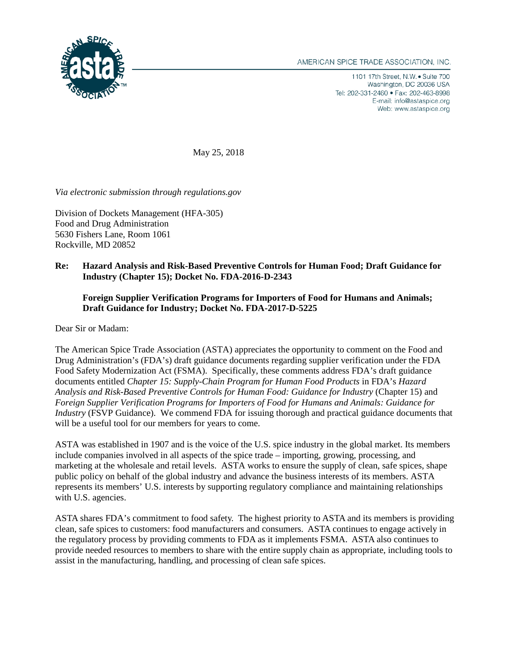

1101 17th Street, N.W. • Suite 700 Washington, DC 20036 USA Tel: 202-331-2460 · Fax: 202-463-8998 E-mail: info@astaspice.org Web: www.astaspice.org

May 25, 2018

*Via electronic submission through regulations.gov*

Division of Dockets Management (HFA-305) Food and Drug Administration 5630 Fishers Lane, Room 1061 Rockville, MD 20852

## **Re: Hazard Analysis and Risk-Based Preventive Controls for Human Food; Draft Guidance for Industry (Chapter 15); Docket No. FDA-2016-D-2343**

## **Foreign Supplier Verification Programs for Importers of Food for Humans and Animals; Draft Guidance for Industry; Docket No. FDA-2017-D-5225**

Dear Sir or Madam:

The American Spice Trade Association (ASTA) appreciates the opportunity to comment on the Food and Drug Administration's (FDA's) draft guidance documents regarding supplier verification under the FDA Food Safety Modernization Act (FSMA). Specifically, these comments address FDA's draft guidance documents entitled *Chapter 15: Supply-Chain Program for Human Food Products* in FDA's *Hazard Analysis and Risk-Based Preventive Controls for Human Food: Guidance for Industry* (Chapter 15) and *Foreign Supplier Verification Programs for Importers of Food for Humans and Animals: Guidance for Industry* (FSVP Guidance). We commend FDA for issuing thorough and practical guidance documents that will be a useful tool for our members for years to come.

ASTA was established in 1907 and is the voice of the U.S. spice industry in the global market. Its members include companies involved in all aspects of the spice trade – importing, growing, processing, and marketing at the wholesale and retail levels. ASTA works to ensure the supply of clean, safe spices, shape public policy on behalf of the global industry and advance the business interests of its members. ASTA represents its members' U.S. interests by supporting regulatory compliance and maintaining relationships with U.S. agencies.

ASTA shares FDA's commitment to food safety. The highest priority to ASTA and its members is providing clean, safe spices to customers: food manufacturers and consumers. ASTA continues to engage actively in the regulatory process by providing comments to FDA as it implements FSMA. ASTA also continues to provide needed resources to members to share with the entire supply chain as appropriate, including tools to assist in the manufacturing, handling, and processing of clean safe spices.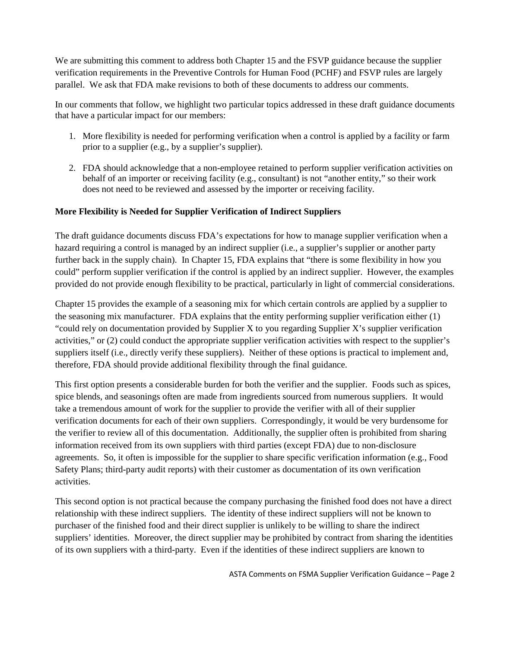We are submitting this comment to address both Chapter 15 and the FSVP guidance because the supplier verification requirements in the Preventive Controls for Human Food (PCHF) and FSVP rules are largely parallel. We ask that FDA make revisions to both of these documents to address our comments.

In our comments that follow, we highlight two particular topics addressed in these draft guidance documents that have a particular impact for our members:

- 1. More flexibility is needed for performing verification when a control is applied by a facility or farm prior to a supplier (e.g., by a supplier's supplier).
- 2. FDA should acknowledge that a non-employee retained to perform supplier verification activities on behalf of an importer or receiving facility (e.g., consultant) is not "another entity," so their work does not need to be reviewed and assessed by the importer or receiving facility.

## **More Flexibility is Needed for Supplier Verification of Indirect Suppliers**

The draft guidance documents discuss FDA's expectations for how to manage supplier verification when a hazard requiring a control is managed by an indirect supplier (i.e., a supplier's supplier or another party further back in the supply chain). In Chapter 15, FDA explains that "there is some flexibility in how you could" perform supplier verification if the control is applied by an indirect supplier. However, the examples provided do not provide enough flexibility to be practical, particularly in light of commercial considerations.

Chapter 15 provides the example of a seasoning mix for which certain controls are applied by a supplier to the seasoning mix manufacturer. FDA explains that the entity performing supplier verification either (1) "could rely on documentation provided by Supplier X to you regarding Supplier X's supplier verification activities," or (2) could conduct the appropriate supplier verification activities with respect to the supplier's suppliers itself (i.e., directly verify these suppliers). Neither of these options is practical to implement and, therefore, FDA should provide additional flexibility through the final guidance.

This first option presents a considerable burden for both the verifier and the supplier. Foods such as spices, spice blends, and seasonings often are made from ingredients sourced from numerous suppliers. It would take a tremendous amount of work for the supplier to provide the verifier with all of their supplier verification documents for each of their own suppliers. Correspondingly, it would be very burdensome for the verifier to review all of this documentation. Additionally, the supplier often is prohibited from sharing information received from its own suppliers with third parties (except FDA) due to non-disclosure agreements. So, it often is impossible for the supplier to share specific verification information (e.g., Food Safety Plans; third-party audit reports) with their customer as documentation of its own verification activities.

This second option is not practical because the company purchasing the finished food does not have a direct relationship with these indirect suppliers. The identity of these indirect suppliers will not be known to purchaser of the finished food and their direct supplier is unlikely to be willing to share the indirect suppliers' identities. Moreover, the direct supplier may be prohibited by contract from sharing the identities of its own suppliers with a third-party. Even if the identities of these indirect suppliers are known to

ASTA Comments on FSMA Supplier Verification Guidance – Page 2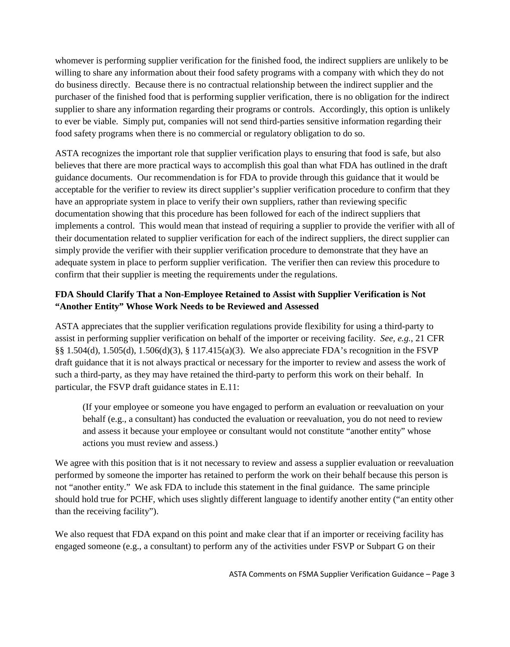whomever is performing supplier verification for the finished food, the indirect suppliers are unlikely to be willing to share any information about their food safety programs with a company with which they do not do business directly. Because there is no contractual relationship between the indirect supplier and the purchaser of the finished food that is performing supplier verification, there is no obligation for the indirect supplier to share any information regarding their programs or controls. Accordingly, this option is unlikely to ever be viable. Simply put, companies will not send third-parties sensitive information regarding their food safety programs when there is no commercial or regulatory obligation to do so.

ASTA recognizes the important role that supplier verification plays to ensuring that food is safe, but also believes that there are more practical ways to accomplish this goal than what FDA has outlined in the draft guidance documents. Our recommendation is for FDA to provide through this guidance that it would be acceptable for the verifier to review its direct supplier's supplier verification procedure to confirm that they have an appropriate system in place to verify their own suppliers, rather than reviewing specific documentation showing that this procedure has been followed for each of the indirect suppliers that implements a control. This would mean that instead of requiring a supplier to provide the verifier with all of their documentation related to supplier verification for each of the indirect suppliers, the direct supplier can simply provide the verifier with their supplier verification procedure to demonstrate that they have an adequate system in place to perform supplier verification. The verifier then can review this procedure to confirm that their supplier is meeting the requirements under the regulations.

## **FDA Should Clarify That a Non-Employee Retained to Assist with Supplier Verification is Not "Another Entity" Whose Work Needs to be Reviewed and Assessed**

ASTA appreciates that the supplier verification regulations provide flexibility for using a third-party to assist in performing supplier verification on behalf of the importer or receiving facility. *See, e.g.*, 21 CFR §§ 1.504(d), 1.505(d), 1.506(d)(3), § 117.415(a)(3). We also appreciate FDA's recognition in the FSVP draft guidance that it is not always practical or necessary for the importer to review and assess the work of such a third-party, as they may have retained the third-party to perform this work on their behalf. In particular, the FSVP draft guidance states in E.11:

(If your employee or someone you have engaged to perform an evaluation or reevaluation on your behalf (e.g., a consultant) has conducted the evaluation or reevaluation, you do not need to review and assess it because your employee or consultant would not constitute "another entity" whose actions you must review and assess.)

We agree with this position that is it not necessary to review and assess a supplier evaluation or reevaluation performed by someone the importer has retained to perform the work on their behalf because this person is not "another entity." We ask FDA to include this statement in the final guidance. The same principle should hold true for PCHF, which uses slightly different language to identify another entity ("an entity other than the receiving facility").

We also request that FDA expand on this point and make clear that if an importer or receiving facility has engaged someone (e.g., a consultant) to perform any of the activities under FSVP or Subpart G on their

ASTA Comments on FSMA Supplier Verification Guidance – Page 3